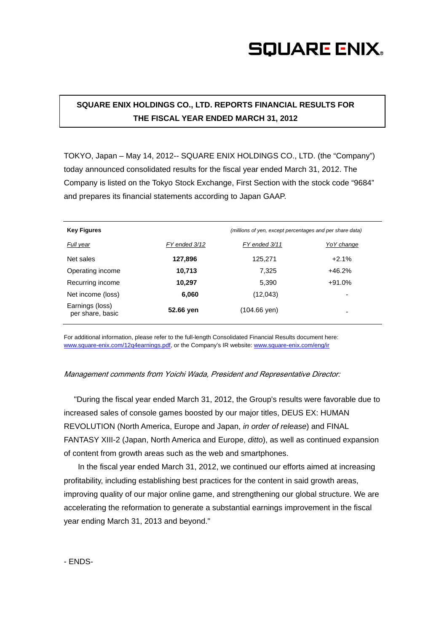# **SQUARE ENIX.**

### **SQUARE ENIX HOLDINGS CO., LTD. REPORTS FINANCIAL RESULTS FOR THE FISCAL YEAR ENDED MARCH 31, 2012**

TOKYO, Japan – May 14, 2012-- SQUARE ENIX HOLDINGS CO., LTD. (the "Company") today announced consolidated results for the fiscal year ended March 31, 2012. The Company is listed on the Tokyo Stock Exchange, First Section with the stock code "9684" and prepares its financial statements according to Japan GAAP.

| <b>Key Figures</b>                  | (millions of yen, except percentages and per share data) |               |             |
|-------------------------------------|----------------------------------------------------------|---------------|-------------|
| Full year                           | FY ended 3/12                                            | FY ended 3/11 | Yo Y change |
| Net sales                           | 127,896                                                  | 125,271       | $+2.1%$     |
| Operating income                    | 10,713                                                   | 7.325         | $+46.2%$    |
| Recurring income                    | 10,297                                                   | 5,390         | $+91.0%$    |
| Net income (loss)                   | 6,060                                                    | (12,043)      | -           |
| Earnings (loss)<br>per share, basic | 52.66 yen                                                | (104.66 yen)  | -           |

For additional information, please refer to the full-length Consolidated Financial Results document here: www.square-enix.com/12q4earnings.pdf, or the Company's IR website: www.square-enix.com/eng/ir

#### Management comments from Yoichi Wada, President and Representative Director:

"During the fiscal year ended March 31, 2012, the Group's results were favorable due to increased sales of console games boosted by our major titles, DEUS EX: HUMAN REVOLUTION (North America, Europe and Japan, *in order of release*) and FINAL FANTASY XIII-2 (Japan, North America and Europe, *ditto*), as well as continued expansion of content from growth areas such as the web and smartphones.

 In the fiscal year ended March 31, 2012, we continued our efforts aimed at increasing profitability, including establishing best practices for the content in said growth areas, improving quality of our major online game, and strengthening our global structure. We are accelerating the reformation to generate a substantial earnings improvement in the fiscal year ending March 31, 2013 and beyond."